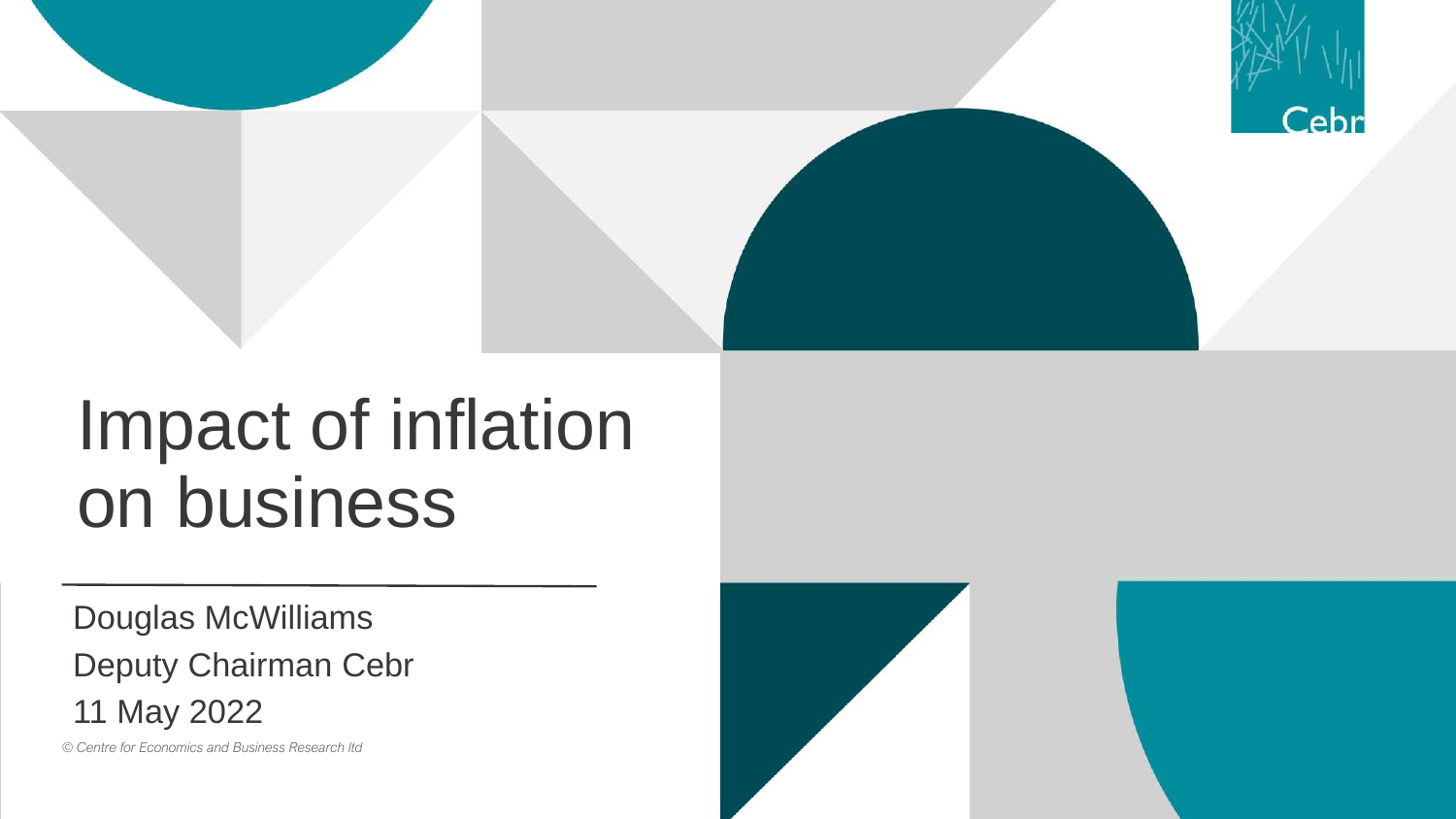

## Impact of inflation on business

Douglas McWilliams Deputy Chairman Cebr 11 May 2022

*© Centre for Economics and Business Research ltd*

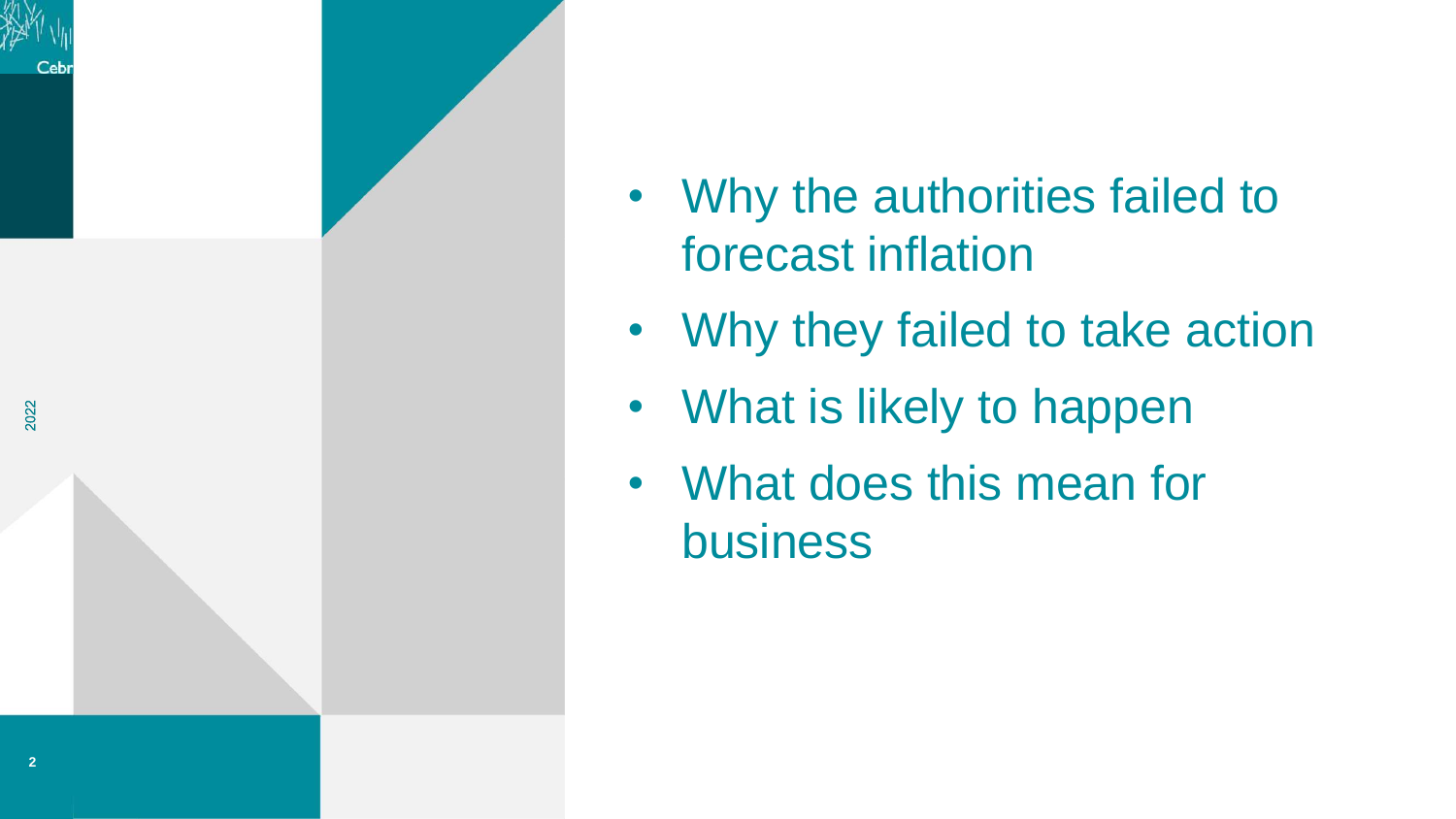

- Why the authorities failed to forecast inflation
- Why they failed to take action
- What is likely to happen
- What does this mean for business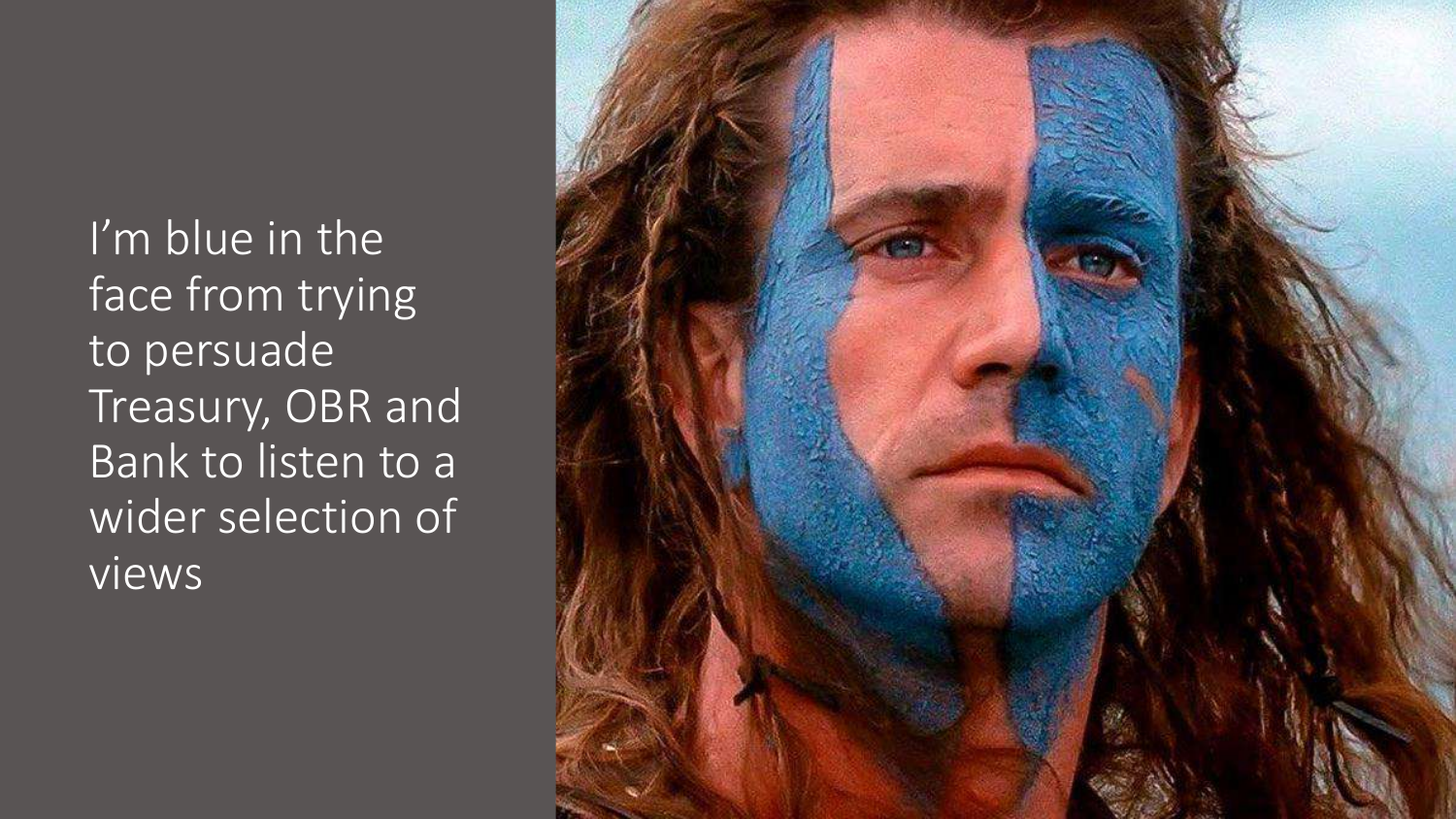I'm blue in the face from trying to persuade Treasury, OBR and Bank to listen to a wider selection of views

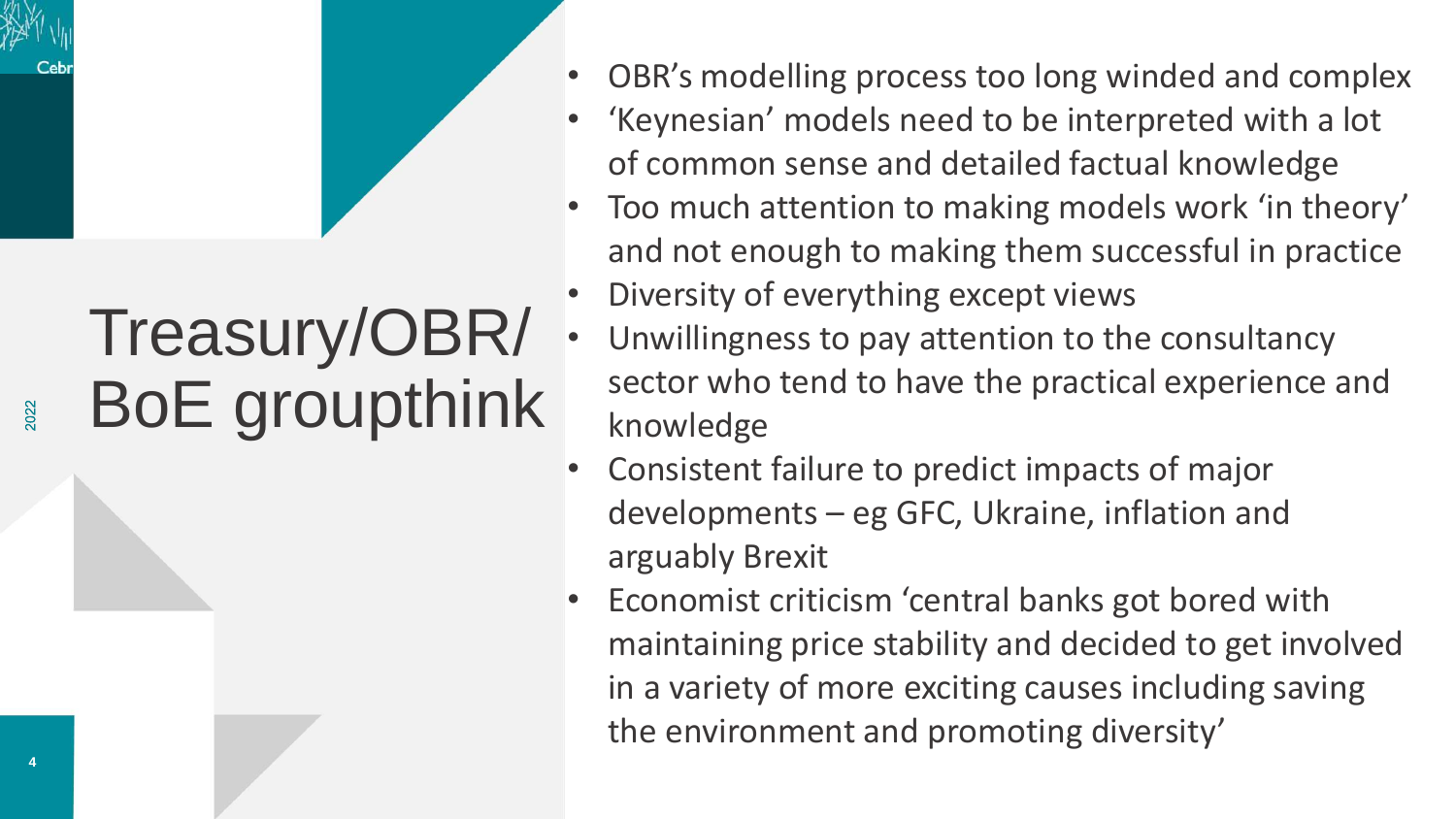# Treasury/OBR/ BoE groupthink

- OBR's modelling process too long winded and complex
- 'Keynesian' models need to be interpreted with a lot of common sense and detailed factual knowledge
- Too much attention to making models work 'in theory' and not enough to making them successful in practice
- Diversity of everything except views
- Unwillingness to pay attention to the consultancy sector who tend to have the practical experience and knowledge
- Consistent failure to predict impacts of major developments – eg GFC, Ukraine, inflation and arguably Brexit
- Economist criticism 'central banks got bored with maintaining price stability and decided to get involved in a variety of more exciting causes including saving the environment and promoting diversity'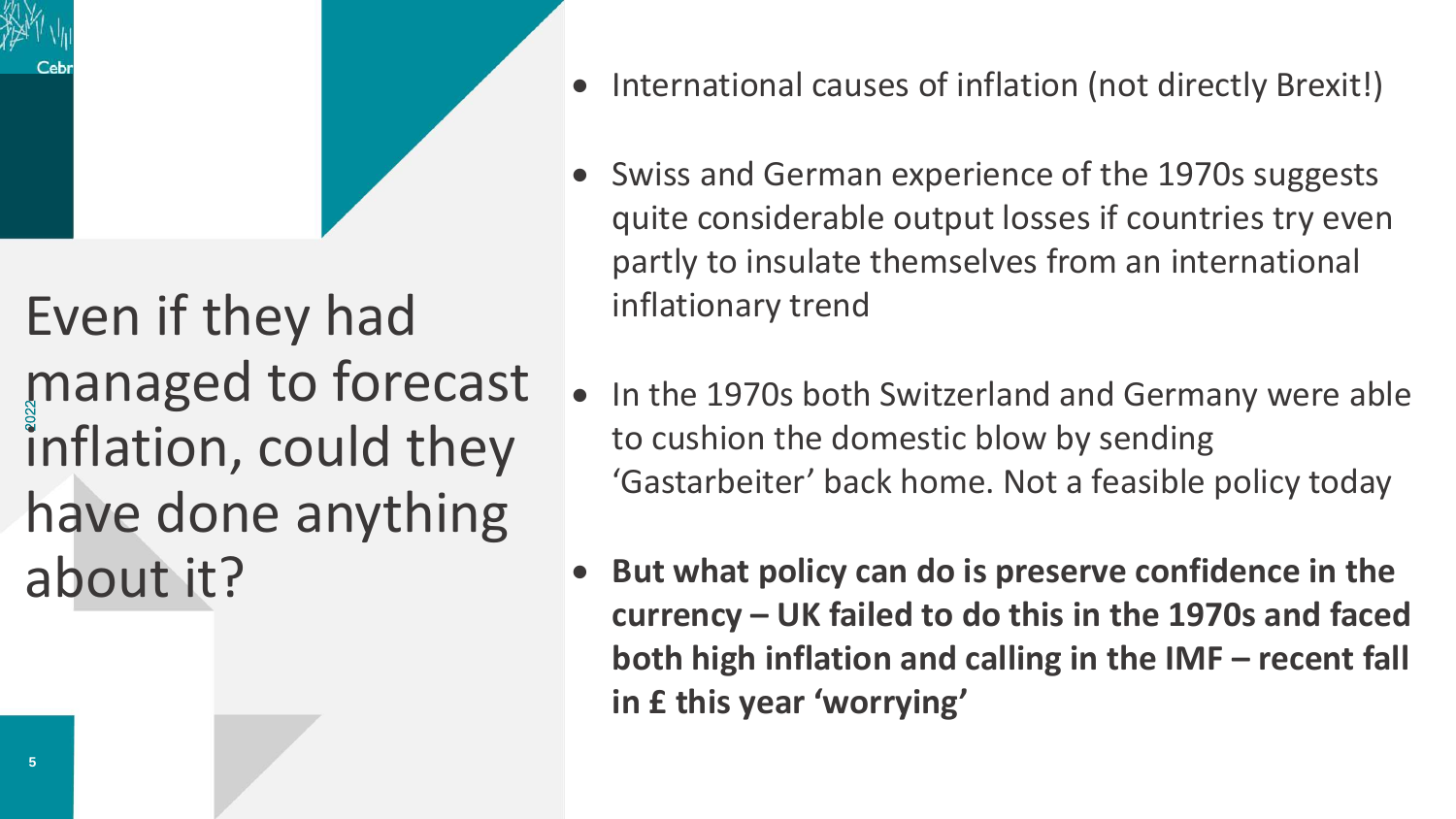

- International causes of inflation (not directly Brexit!)
- Swiss and German experience of the 1970s suggests quite considerable output losses if countries try even partly to insulate themselves from an international inflationary trend
- In the 1970s both Switzerland and Germany were able to cushion the domestic blow by sending 'Gastarbeiter' back home. Not a feasible policy today
- **But what policy can do is preserve confidence in the currency – UK failed to do this in the 1970s and faced both high inflation and calling in the IMF – recent fall in £ this year 'worrying'**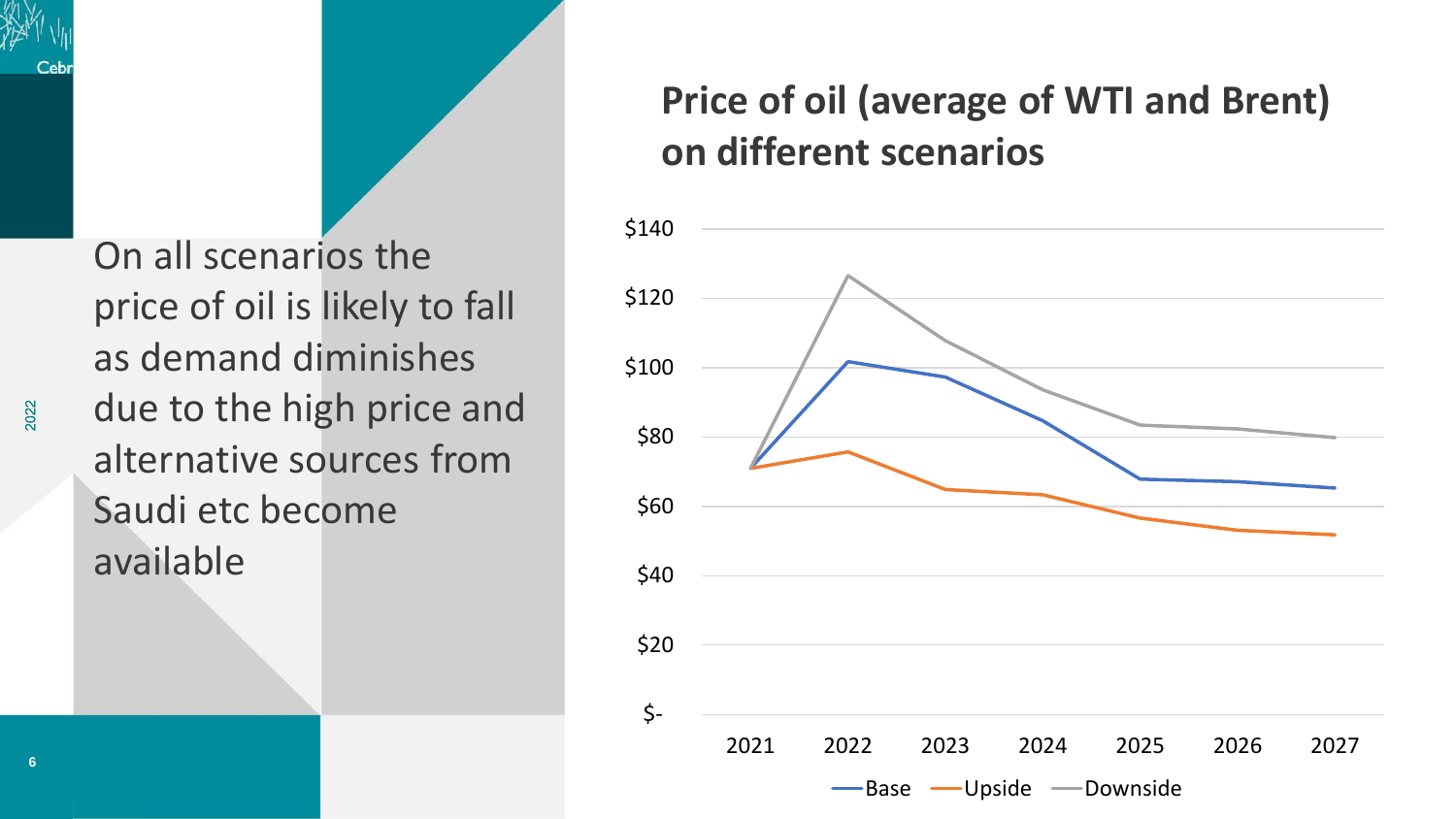On all scenarios the price of oil is likely to fall as demand diminishes due to the high price and alternative sources from Saudi etc become available

#### **Price of oil (average of WTI and Brent) on different scenarios**

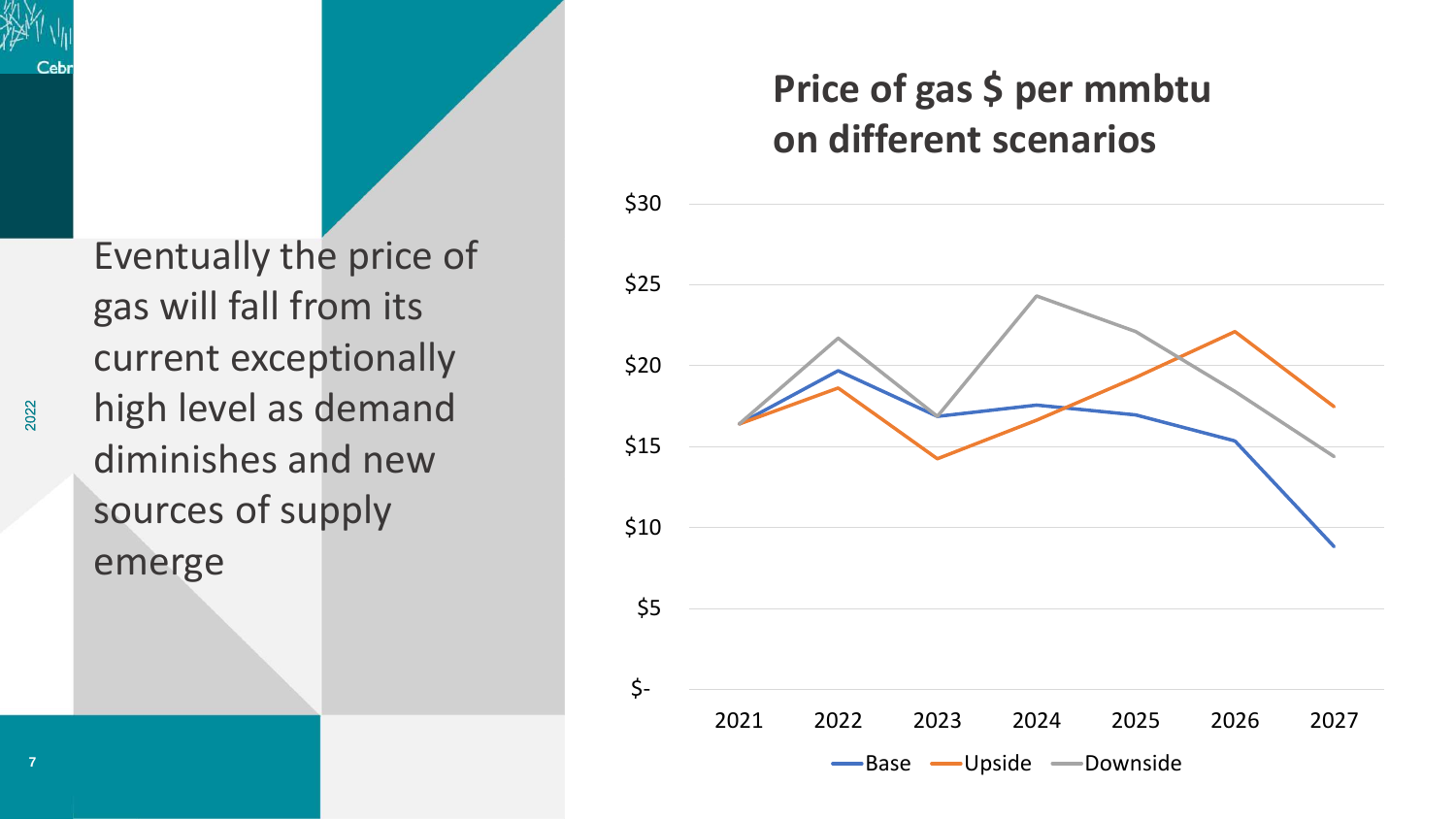Eventually the price of gas will fall from its current exceptionally high level as demand diminishes and new sources of supply emerge

#### **Price of gas \$ per mmbtu on different scenarios**

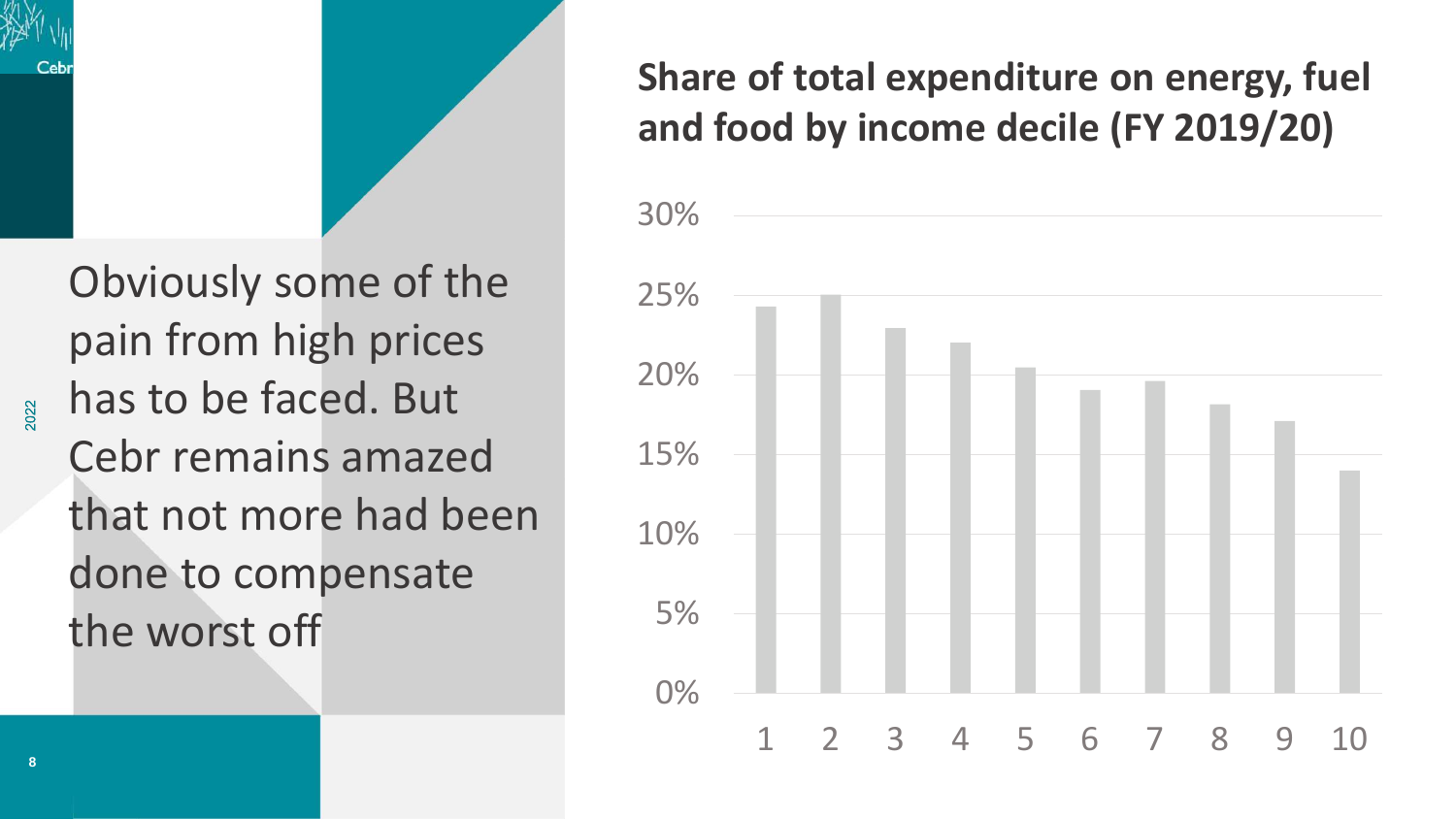

#### **Share of total expenditure on energy, fuel and food by income decile (FY 2019/20)**

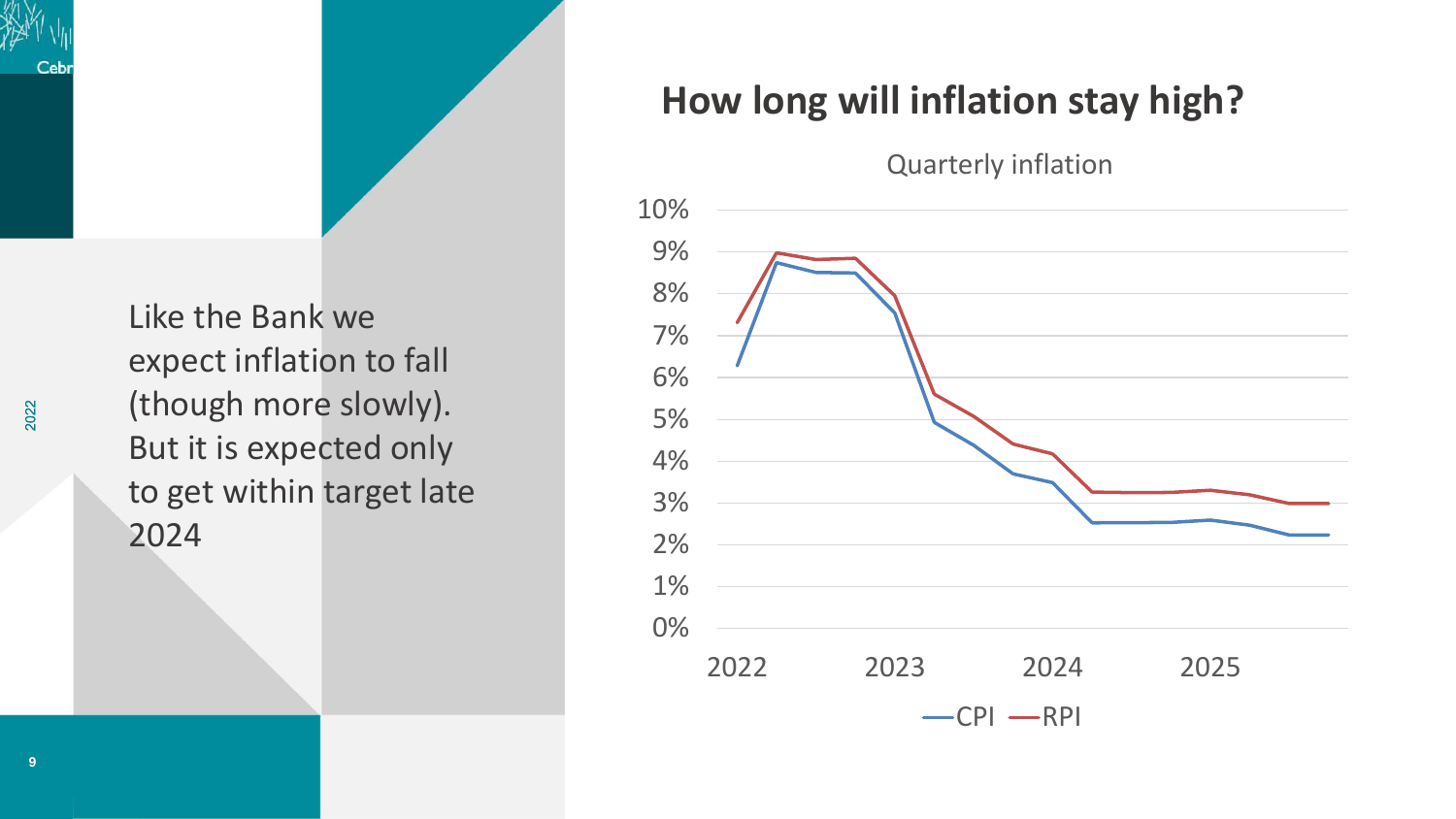Like the Bank we expect inflation to fall (though more slowly). But it is expected only to get within target late 2024

#### **How long will inflation stay high?**

Quarterly inflation



2022

Ceb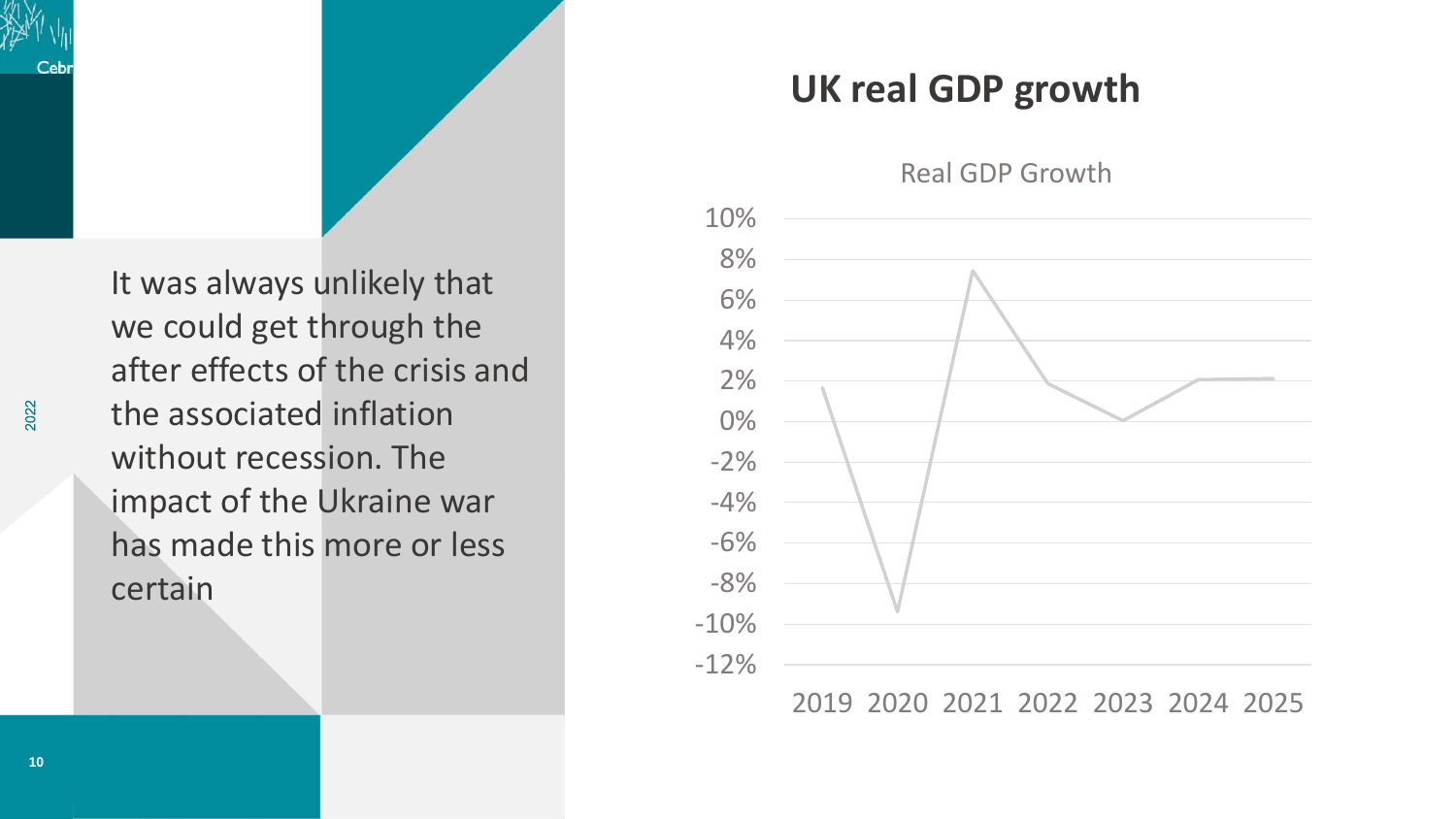

#### **UK real GDP growth**

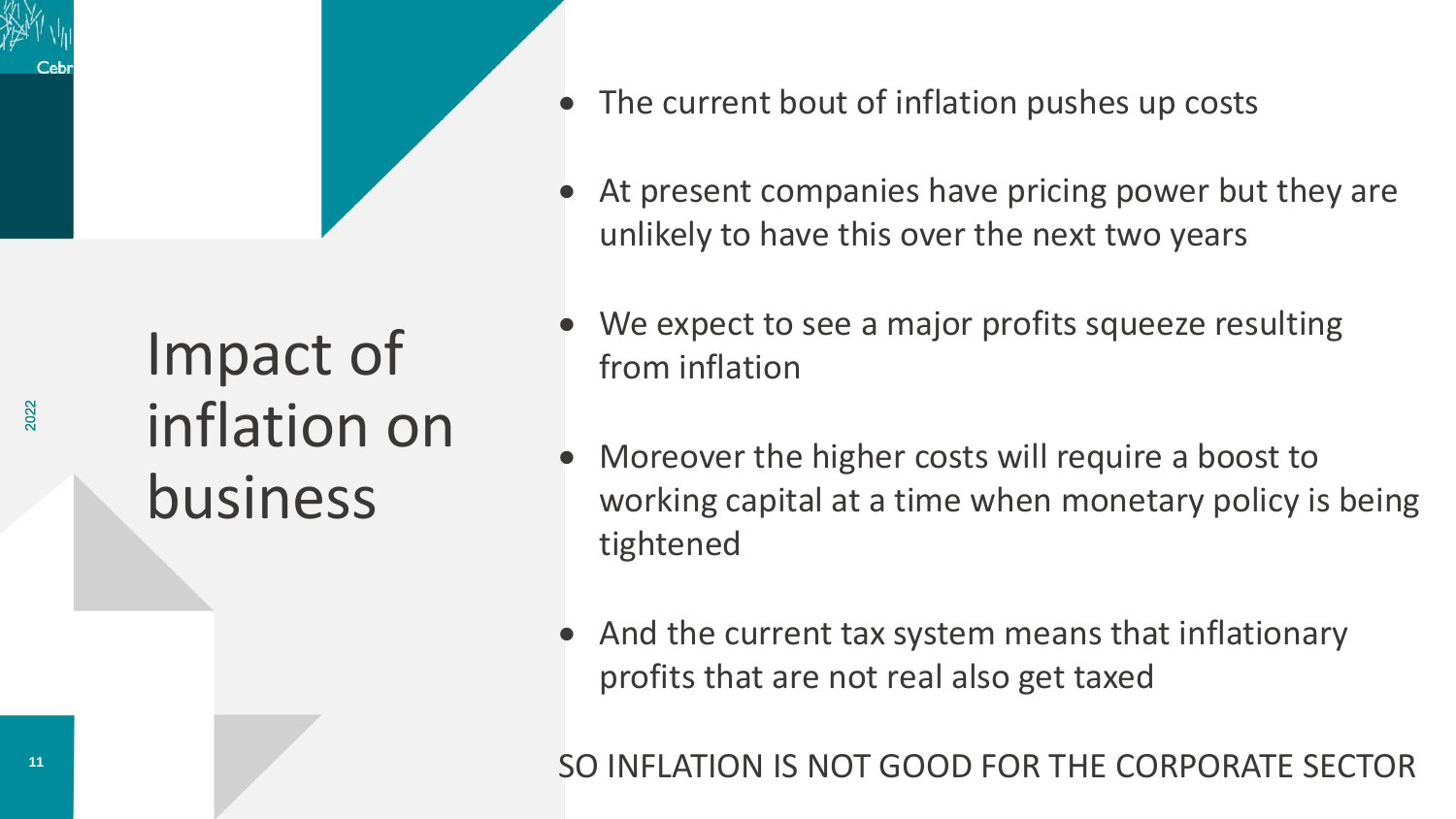## Impact of inflation on business

- The current bout of inflation pushes up costs
- At present companies have pricing power but they are unlikely to have this over the next two years
- We expect to see a major profits squeeze resulting from inflation
- Moreover the higher costs will require a boost to working capital at a time when monetary policy is being tightened
- And the current tax system means that inflationary profits that are not real also get taxed

SO INFLATION IS NOT GOOD FOR THE CORPORATE SECTOR